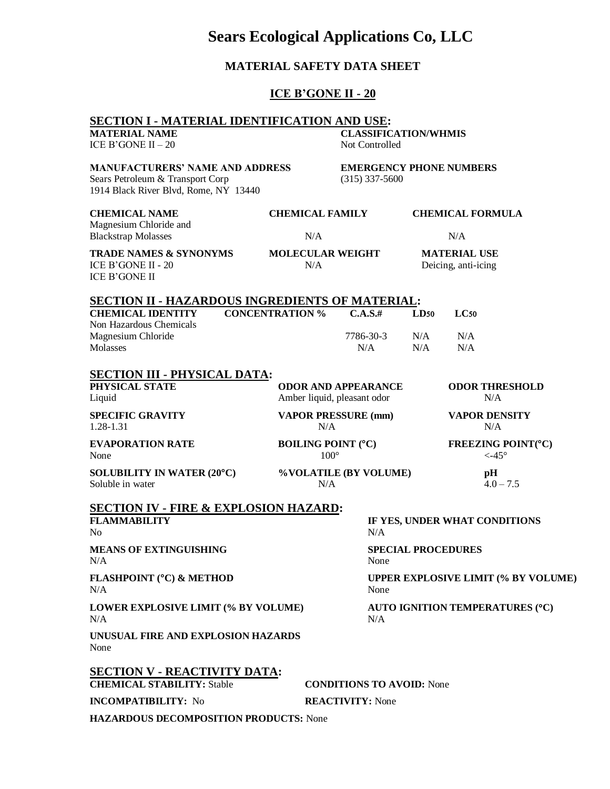## **MATERIAL SAFETY DATA SHEET ICE B'GONE II - 20 SECTION I - MATERIAL IDENTIFICATION AND USE: MATERIAL NAME CLASSIFICATION/WHMIS**  $ICE B'GONE II - 20$  Not Controlled **MANUFACTURERS' NAME AND ADDRESS EMERGENCY PHONE NUMBERS** Sears Petroleum & Transport Corp (315) 337-5600 1914 Black River Blvd, Rome, NY 13440 **CHEMICAL NAME CHEMICAL FAMILY CHEMICAL FORMULA** Magnesium Chloride and Blackstrap Molasses and a N/A N/A N/A **TRADE NAMES & SYNONYMS MOLECULAR WEIGHT MATERIAL USE** ICE B'GONE II - 20 N/A Deicing, anti-icing ICE B'GONE II **SECTION II - HAZARDOUS INGREDIENTS OF MATERIAL: CHEMICAL IDENTITY CONCENTRATION % C.A.S.# LD50 LC50** Non Hazardous Chemicals Magnesium Chloride **1986-2001** 1786-30-3 N/A N/A Molasses N/A N/A N/A N/A **SECTION III - PHYSICAL DATA: PHYSICAL STATE ODOR AND APPEARANCE ODOR THRESHOLD** Liquid Amber liquid, pleasant odor N/A **SPECIFIC GRAVITY VAPOR PRESSURE (mm) VAPOR DENSITY** 1.28-1.31 N/A N/A **EVAPORATION RATE BOILING POINT (°C) FREEZING POINT(°C)** None  $100^{\circ}$   $\leq -45^{\circ}$ **SOLUBILITY IN WATER (20°C) %VOLATILE (BY VOLUME) pH** Soluble in water  $N/A$   $4.0 - 7.5$ **SECTION IV - FIRE & EXPLOSION HAZARD: FLAMMABILITY IF YES, UNDER WHAT CONDITIONS** No N/A **MEANS OF EXTINGUISHING SPECIAL PROCEDURES** N/A None **FLASHPOINT (°C) & METHOD UPPER EXPLOSIVE LIMIT (% BY VOLUME)** N/A None **LOWER EXPLOSIVE LIMIT (% BY VOLUME) AUTO IGNITION TEMPERATURES (C)**  $N/A$   $N/A$ **SECTION V - REACTIVITY DATA: CHEMICAL STABILITY:** Stable **CONDITIONS TO AVOID:** None **INCOMPATIBILITY:** No **REACTIVITY:** None **HAZARDOUS DECOMPOSITION PRODUCTS:** None

# **Sears Ecological Applications Co, LLC**

**UNUSUAL FIRE AND EXPLOSION HAZARDS** None